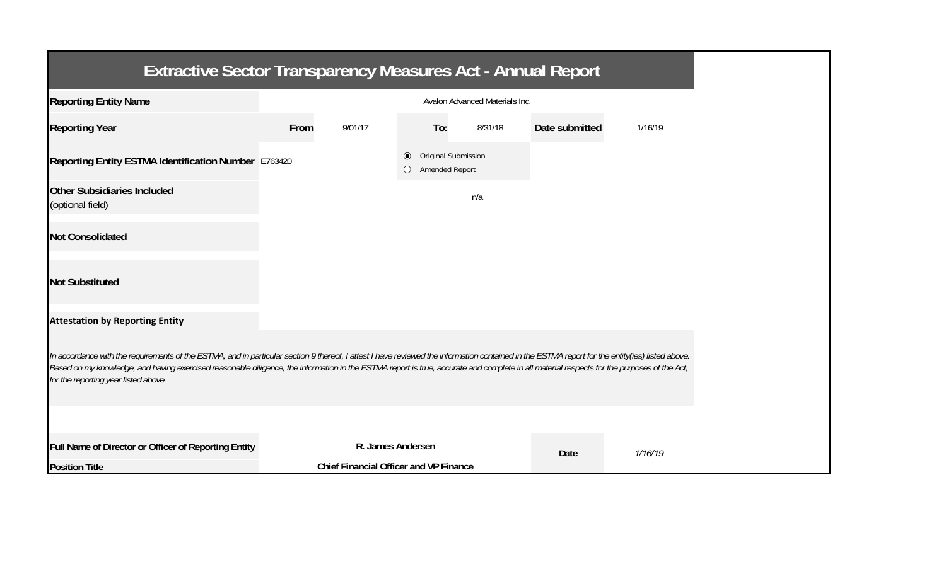| <b>Extractive Sector Transparency Measures Act - Annual Report</b>                                                                                                                                                                                                                                                                                                                                                                    |                                               |                   |                                                         |         |                |         |  |  |
|---------------------------------------------------------------------------------------------------------------------------------------------------------------------------------------------------------------------------------------------------------------------------------------------------------------------------------------------------------------------------------------------------------------------------------------|-----------------------------------------------|-------------------|---------------------------------------------------------|---------|----------------|---------|--|--|
| <b>Reporting Entity Name</b>                                                                                                                                                                                                                                                                                                                                                                                                          | Avalon Advanced Materials Inc.                |                   |                                                         |         |                |         |  |  |
| <b>Reporting Year</b>                                                                                                                                                                                                                                                                                                                                                                                                                 | From                                          | 9/01/17           | To:                                                     | 8/31/18 | Date submitted | 1/16/19 |  |  |
| Reporting Entity ESTMA Identification Number E763420                                                                                                                                                                                                                                                                                                                                                                                  |                                               |                   | Original Submission<br>$\circledcirc$<br>Amended Report |         |                |         |  |  |
| <b>Other Subsidiaries Included</b><br>(optional field)                                                                                                                                                                                                                                                                                                                                                                                |                                               |                   |                                                         | n/a     |                |         |  |  |
| <b>Not Consolidated</b>                                                                                                                                                                                                                                                                                                                                                                                                               |                                               |                   |                                                         |         |                |         |  |  |
| <b>Not Substituted</b>                                                                                                                                                                                                                                                                                                                                                                                                                |                                               |                   |                                                         |         |                |         |  |  |
| <b>Attestation by Reporting Entity</b>                                                                                                                                                                                                                                                                                                                                                                                                |                                               |                   |                                                         |         |                |         |  |  |
| In accordance with the requirements of the ESTMA, and in particular section 9 thereof, I attest I have reviewed the information contained in the ESTMA report for the entity(ies) listed above.<br>Based on my knowledge, and having exercised reasonable diligence, the information in the ESTMA report is true, accurate and complete in all material respects for the purposes of the Act,<br>for the reporting year listed above. |                                               |                   |                                                         |         |                |         |  |  |
|                                                                                                                                                                                                                                                                                                                                                                                                                                       |                                               |                   |                                                         |         |                |         |  |  |
| Full Name of Director or Officer of Reporting Entity                                                                                                                                                                                                                                                                                                                                                                                  |                                               | R. James Andersen |                                                         |         | Date           | 1/16/19 |  |  |
| <b>Position Title</b>                                                                                                                                                                                                                                                                                                                                                                                                                 | <b>Chief Financial Officer and VP Finance</b> |                   |                                                         |         |                |         |  |  |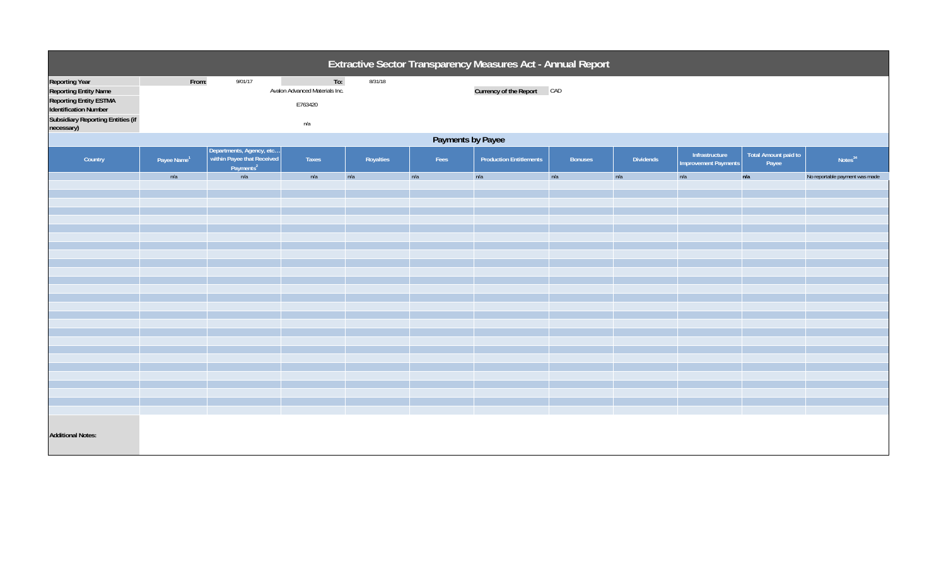| Extractive Sector Transparency Measures Act - Annual Report                                                                                                               |                         |                                                                                 |                                                         |           |      |                                |                |                  |                                               |                                      |                                |
|---------------------------------------------------------------------------------------------------------------------------------------------------------------------------|-------------------------|---------------------------------------------------------------------------------|---------------------------------------------------------|-----------|------|--------------------------------|----------------|------------------|-----------------------------------------------|--------------------------------------|--------------------------------|
| <b>Reporting Year</b><br><b>Reporting Entity Name</b><br><b>Reporting Entity ESTMA</b><br>Identification Number<br><b>Subsidiary Reporting Entities (if</b><br>necessary) | From:                   | 9/01/17                                                                         | To:<br>Avalon Advanced Materials Inc.<br>E763420<br>n/a | 8/31/18   |      | Currency of the Report CAD     |                |                  |                                               |                                      |                                |
| Payments by Payee                                                                                                                                                         |                         |                                                                                 |                                                         |           |      |                                |                |                  |                                               |                                      |                                |
| Country                                                                                                                                                                   | Payee Name <sup>1</sup> | Departments, Agency, etc<br>within Payee that Received<br>Payments <sup>2</sup> | Taxes                                                   | Royalties | Fees | <b>Production Entitlements</b> | <b>Bonuses</b> | <b>Dividends</b> | Infrastructure<br><b>Improvement Payments</b> | <b>Total Amount paid to</b><br>Payee | Notes <sup>34</sup>            |
|                                                                                                                                                                           | n/a                     | n/a                                                                             | n/a                                                     | n/a       | n/a  | n/a                            | n/a            | n/a              | n/a                                           | n/a                                  | No reportable payment was made |
|                                                                                                                                                                           |                         |                                                                                 |                                                         |           |      |                                |                |                  |                                               |                                      |                                |
|                                                                                                                                                                           |                         |                                                                                 |                                                         |           |      |                                |                |                  |                                               |                                      |                                |
|                                                                                                                                                                           |                         |                                                                                 |                                                         |           |      |                                |                |                  |                                               |                                      |                                |
|                                                                                                                                                                           |                         |                                                                                 |                                                         |           |      |                                |                |                  |                                               |                                      |                                |
|                                                                                                                                                                           |                         |                                                                                 |                                                         |           |      |                                |                |                  |                                               |                                      |                                |
|                                                                                                                                                                           |                         |                                                                                 |                                                         |           |      |                                |                |                  |                                               |                                      |                                |
|                                                                                                                                                                           |                         |                                                                                 |                                                         |           |      |                                |                |                  |                                               |                                      |                                |
|                                                                                                                                                                           |                         |                                                                                 |                                                         |           |      |                                |                |                  |                                               |                                      |                                |
|                                                                                                                                                                           |                         |                                                                                 |                                                         |           |      |                                |                |                  |                                               |                                      |                                |
|                                                                                                                                                                           |                         |                                                                                 |                                                         |           |      |                                |                |                  |                                               |                                      |                                |
|                                                                                                                                                                           |                         |                                                                                 |                                                         |           |      |                                |                |                  |                                               |                                      |                                |
|                                                                                                                                                                           |                         |                                                                                 |                                                         |           |      |                                |                |                  |                                               |                                      |                                |
|                                                                                                                                                                           |                         |                                                                                 |                                                         |           |      |                                |                |                  |                                               |                                      |                                |
|                                                                                                                                                                           |                         |                                                                                 |                                                         |           |      |                                |                |                  |                                               |                                      |                                |
|                                                                                                                                                                           |                         |                                                                                 |                                                         |           |      |                                |                |                  |                                               |                                      |                                |
|                                                                                                                                                                           |                         |                                                                                 |                                                         |           |      |                                |                |                  |                                               |                                      |                                |
| <b>Additional Notes:</b>                                                                                                                                                  |                         |                                                                                 |                                                         |           |      |                                |                |                  |                                               |                                      |                                |